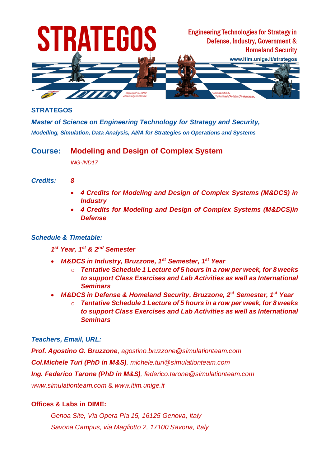

#### **STRATEGOS**

*Master of Science on Engineering Technology for Strategy and Security, Modelling, Simulation, Data Analysis, AI/IA for Strategies on Operations and Systems*

# **Course: Modeling and Design of Complex System**

*ING-IND17*

#### *Credits: 8*

- *4 Credits for Modeling and Design of Complex Systems (M&DCS) in Industry*
- *4 Credits for Modeling and Design of Complex Systems (M&DCS)in Defense*

#### *Schedule & Timetable:*

- *1 st Year, 1 st & 2 nd Semester*
- *M&DCS in Industry, Bruzzone, 1st Semester, 1st Year*
	- o *Tentative Schedule 1 Lecture of 5 hours in a row per week, for 8 weeks to support Class Exercises and Lab Activities as well as International Seminars*
- *M&DCS in Defense & Homeland Security, Bruzzone, 2st Semester, 1st Year*
	- o *Tentative Schedule 1 Lecture of 5 hours in a row per week, for 8 weeks to support Class Exercises and Lab Activities as well as International Seminars*

#### *Teachers, Email, URL:*

*Prof. Agostino G. Bruzzone, agostino.bruzzone@simulationteam.com Col.Michele Turi (PhD in M&S), michele.turi@simulationteam.com Ing. Federico Tarone (PhD in M&S), federico.tarone@simulationteam.com www.simulationteam.com* & *www.itim.unige.it*

### **Offices & Labs in DIME:**

*Genoa Site, Via Opera Pia 15, 16125 Genova, Italy Savona Campus, via Magliotto 2, 17100 Savona, Italy*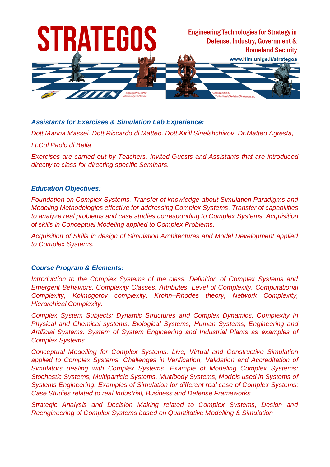

# *Assistants for Exercises & Simulation Lab Experience:*

*Dott.Marina Massei, Dott.Riccardo di Matteo, Dott.Kirill Sinelshchikov, Dr.Matteo Agresta,*

#### *Lt.Col.Paolo di Bella*

*Exercises are carried out by Teachers, Invited Guests and Assistants that are introduced directly to class for directing specific Seminars.*

#### *Education Objectives:*

*Foundation on Complex Systems. Transfer of knowledge about Simulation Paradigms and Modeling Methodologies effective for addressing Complex Systems. Transfer of capabilities to analyze real problems and case studies corresponding to Complex Systems. Acquisition of skills in Conceptual Modeling applied to Complex Problems.*

*Acquisition of Skills in design of Simulation Architectures and Model Development applied to Complex Systems.*

#### *Course Program & Elements:*

*Introduction to the Complex Systems of the class. Definition of Complex Systems and Emergent Behaviors. Complexity Classes, Attributes, Level of Complexity. Computational Complexity, Kolmogorov complexity, Krohn–Rhodes theory, Network Complexity, Hierarchical Complexity.*

*Complex System Subjects: Dynamic Structures and Complex Dynamics, Complexity in Physical and Chemical systems, Biological Systems, Human Systems, Engineering and Artificial Systems. System of System Engineering and Industrial Plants as examples of Complex Systems.*

*Conceptual Modelling for Complex Systems. Live, Virtual and Constructive Simulation applied to Complex Systems. Challenges in Verification, Validation and Accreditation of Simulators dealing with Complex Systems. Example of Modeling Complex Systems: Stochastic Systems, Multiparticle Systems, Multibody Systems, Models used in Systems of Systems Engineering. Examples of Simulation for different real case of Complex Systems: Case Studies related to real Industrial, Business and Defense Frameworks*

*Strategic Analysis and Decision Making related to Complex Systems, Design and Reengineering of Complex Systems based on Quantitative Modelling & Simulation*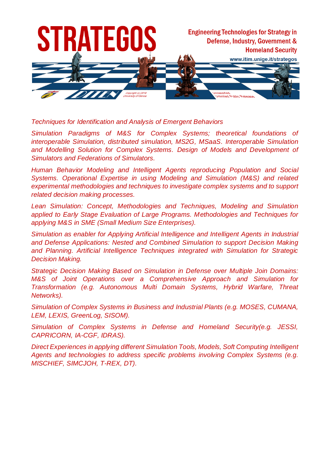

*Techniques for Identification and Analysis of Emergent Behaviors*

*Simulation Paradigms of M&S for Complex Systems; theoretical foundations of interoperable Simulation, distributed simulation, MS2G, MSaaS. Interoperable Simulation*  and Modelling Solution for Complex Systems. Design of Models and Development of *Simulators and Federations of Simulators.*

*Human Behavior Modeling and Intelligent Agents reproducing Population and Social Systems. Operational Expertise in using Modeling and Simulation (M&S) and related experimental methodologies and techniques to investigate complex systems and to support related decision making processes.*

*Lean Simulation: Concept, Methodologies and Techniques, Modeling and Simulation applied to Early Stage Evaluation of Large Programs. Methodologies and Techniques for applying M&S in SME (Small Medium Size Enterprises).*

*Simulation as enabler for Applying Artificial Intelligence and Intelligent Agents in Industrial and Defense Applications: Nested and Combined Simulation to support Decision Making*  and Planning. Artificial Intelligence Techniques integrated with Simulation for Strategic *Decision Making.*

*Strategic Decision Making Based on Simulation in Defense over Multiple Join Domains: M&S of Joint Operations over a Comprehensive Approach and Simulation for Transformation (e.g. Autonomous Multi Domain Systems, Hybrid Warfare, Threat Networks).*

*Simulation of Complex Systems in Business and Industrial Plants (e.g. MOSES, CUMANA, LEM, LEXIS, GreenLog, SISOM).*

*Simulation of Complex Systems in Defense and Homeland Security(e.g. JESSI, CAPRICORN, IA-CGF, IDRAS).*

*Direct Experiences in applying different Simulation Tools, Models, Soft Computing Intelligent Agents and technologies to address specific problems involving Complex Systems (e.g. MISCHIEF, SIMCJOH, T-REX, DT).*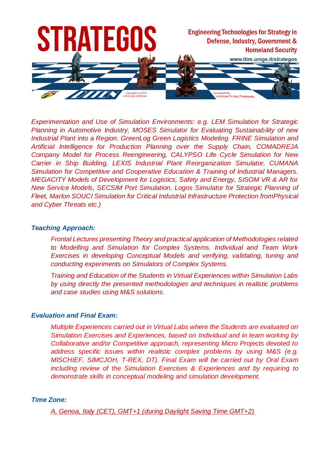

*Experimentation and Use of Simulation Environments: e.g. LEM Simulation for Strategic Planning in Automotive Industry, MOSES Simulator for Evaluating Sustainability of new Industrial Plant into a Region. GreenLog Green Logistics Modeling. FRINE Simulation and Artificial Intelligence for Production Planning over the Supply Chain, COMADREJA Company Model for Process Reengineering, CALYPSO Life Cycle Simulation for New Carrier in Ship Building, LEXIS Industrial Plant Reorganization Simulator, CUMANA Simulation for Competitive and Cooperative Education & Training of Industrial Managers. MEGACITY Models of Development for Logistics, Safety and Energy, SISOM VR & AR for New Service Models, SECSIM Port Simulation, Logos Simulator for Strategic Planning of Fleet, Marlon SOUCI Simulation for Critical Industrial Infrastructure Protection fromPhysical and Cyber Threats etc.)*

#### *Teaching Approach:*

*Frontal Lectures presenting Theory and practical application of Methodologies related to Modelling and Simulation for Complex Systems. Individual and Team Work Exercises in developing Conceptual Models and verifying, validating, tuning and conducting experiments on Simulators of Complex Systems.*

*Training and Education of the Students in Virtual Experiences within Simulation Labs by using directly the presented methodologies and techniques in realistic problems and case studies using M&S solutions.*

#### *Evaluation and Final Exam:*

*Multiple Experiences carried out in Virtual Labs where the Students are evaluated on Simulation Exercises and Experiences, based on Individual and in team working by Collaborative and/or Competitive approach, representing Micro Projects devoted to address specific issues within realistic complex problems by using M&S (e.g. MISCHIEF, SIMCJOH, T-REX, DT). Final Exam will be carried out by Oral Exam including review of the Simulation Exercises & Experiences and by requiring to demonstrate skills in conceptual modeling and simulation development.*

#### *Time Zone:*

*A, Genoa, Italy (CET), GMT+1 (during Daylight Saving Time GMT+2)*